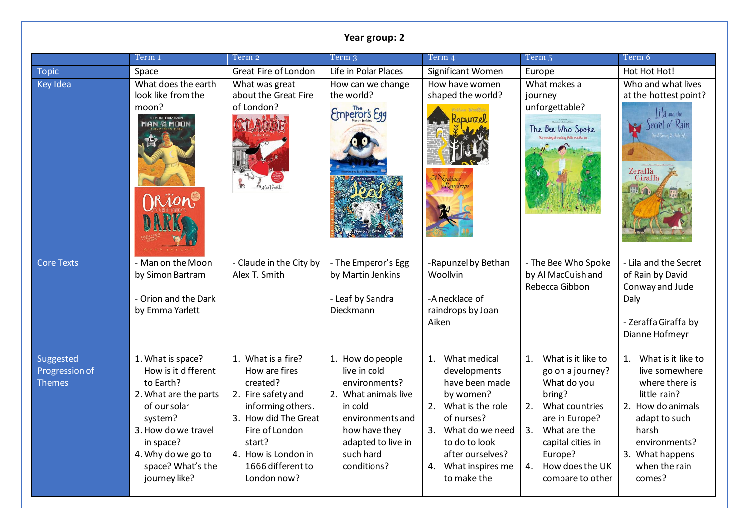|                                              | Year group: 2                                                                                                                                                                                             |                                                                                                                                                                                                           |                                                                                                                                                                             |                                                                                                                                                                                                         |                                                                                                                                                                                                                    |                                                                                                                                                                                            |  |  |
|----------------------------------------------|-----------------------------------------------------------------------------------------------------------------------------------------------------------------------------------------------------------|-----------------------------------------------------------------------------------------------------------------------------------------------------------------------------------------------------------|-----------------------------------------------------------------------------------------------------------------------------------------------------------------------------|---------------------------------------------------------------------------------------------------------------------------------------------------------------------------------------------------------|--------------------------------------------------------------------------------------------------------------------------------------------------------------------------------------------------------------------|--------------------------------------------------------------------------------------------------------------------------------------------------------------------------------------------|--|--|
|                                              | Term 1                                                                                                                                                                                                    | Term 2                                                                                                                                                                                                    | Term 3                                                                                                                                                                      | Term 4                                                                                                                                                                                                  | Term 5                                                                                                                                                                                                             | Term 6                                                                                                                                                                                     |  |  |
| <b>Topic</b>                                 | Space                                                                                                                                                                                                     | Great Fire of London                                                                                                                                                                                      | Life in Polar Places                                                                                                                                                        | Significant Women                                                                                                                                                                                       | Europe                                                                                                                                                                                                             | Hot Hot Hot!                                                                                                                                                                               |  |  |
| Key Idea                                     | What does the earth<br>look like from the<br>moon?<br>SIMON BARTRAM<br>MAN HE MOON                                                                                                                        | What was great<br>about the Great Fire<br>of London?                                                                                                                                                      | How can we change<br>the world?<br>Emperor's Egg                                                                                                                            | How have women<br>shaped the world?<br><b>DUNZel</b><br>Kaindrops                                                                                                                                       | What makes a<br>journey<br>unforgettable?<br>The Bee Who Spoke                                                                                                                                                     | Who and what lives<br>at the hottest point?<br>lila and the<br>Zeraffa<br>Giraffa                                                                                                          |  |  |
| <b>Core Texts</b>                            | - Man on the Moon<br>by Simon Bartram<br>- Orion and the Dark<br>by Emma Yarlett                                                                                                                          | - Claude in the City by<br>Alex T. Smith                                                                                                                                                                  | - The Emperor's Egg<br>by Martin Jenkins<br>- Leaf by Sandra<br>Dieckmann                                                                                                   | -Rapunzel by Bethan<br>Woollvin<br>-A necklace of<br>raindrops by Joan<br>Aiken                                                                                                                         | - The Bee Who Spoke<br>by Al MacCuish and<br>Rebecca Gibbon                                                                                                                                                        | - Lila and the Secret<br>of Rain by David<br>Conway and Jude<br>Daly<br>- Zeraffa Giraffa by<br>Dianne Hofmeyr                                                                             |  |  |
| Suggested<br>Progression of<br><b>Themes</b> | 1. What is space?<br>How is it different<br>to Earth?<br>2. What are the parts<br>of our solar<br>system?<br>3. How do we travel<br>in space?<br>4. Why do we go to<br>space? What's the<br>journey like? | 1. What is a fire?<br>How are fires<br>created?<br>2. Fire safety and<br>informing others.<br>3. How did The Great<br>Fire of London<br>start?<br>4. How is London in<br>1666 different to<br>London now? | 1. How do people<br>live in cold<br>environments?<br>2. What animals live<br>in cold<br>environments and<br>how have they<br>adapted to live in<br>such hard<br>conditions? | What medical<br>1.<br>developments<br>have been made<br>by women?<br>2. What is the role<br>of nurses?<br>3. What do we need<br>to do to look<br>after ourselves?<br>4. What inspires me<br>to make the | What is it like to<br>1.<br>go on a journey?<br>What do you<br>bring?<br>What countries<br>2.<br>are in Europe?<br>3.<br>What are the<br>capital cities in<br>Europe?<br>How does the UK<br>4.<br>compare to other | What is it like to<br>1.<br>live somewhere<br>where there is<br>little rain?<br>2. How do animals<br>adapt to such<br>harsh<br>environments?<br>3. What happens<br>when the rain<br>comes? |  |  |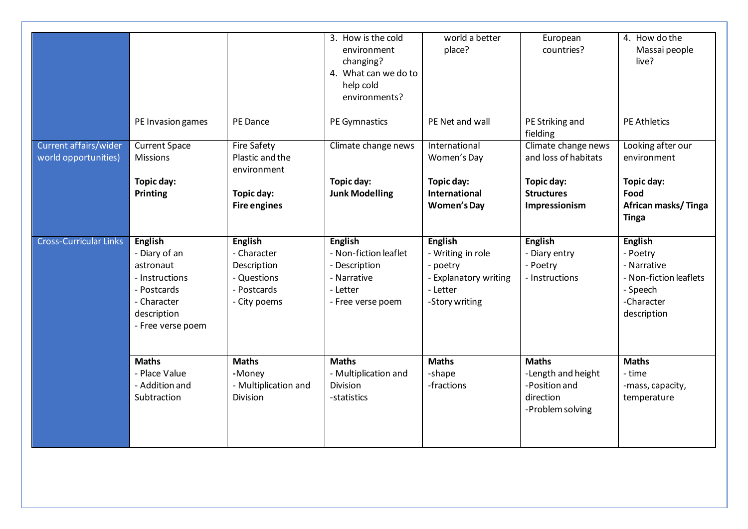|                                               |                                                                |                                                             | 3. How is the cold<br>environment<br>changing?<br>4. What can we do to<br>help cold<br>environments? | world a better<br>place?                                                 | European<br>countries?                                        | 4. How do the<br>Massai people<br>live?                             |
|-----------------------------------------------|----------------------------------------------------------------|-------------------------------------------------------------|------------------------------------------------------------------------------------------------------|--------------------------------------------------------------------------|---------------------------------------------------------------|---------------------------------------------------------------------|
|                                               | PE Invasion games                                              | PE Dance                                                    | PE Gymnastics                                                                                        | PE Net and wall                                                          | PE Striking and<br>fielding                                   | <b>PE Athletics</b>                                                 |
| Current affairs/wider<br>world opportunities) | <b>Current Space</b><br><b>Missions</b>                        | <b>Fire Safety</b><br>Plastic and the<br>environment        | Climate change news                                                                                  | International<br>Women's Day                                             | Climate change news<br>and loss of habitats                   | Looking after our<br>environment                                    |
|                                               | Topic day:<br><b>Printing</b>                                  | Topic day:<br><b>Fire engines</b>                           | Topic day:<br><b>Junk Modelling</b>                                                                  | Topic day:<br><b>International</b><br><b>Women's Day</b>                 | Topic day:<br><b>Structures</b><br>Impressionism              | Topic day:<br>Food<br>African masks/Tinga<br><b>Tinga</b>           |
| <b>Cross-Curricular Links</b>                 | English<br>- Diary of an<br>astronaut<br>- Instructions        | <b>English</b><br>- Character<br>Description<br>- Questions | English<br>- Non-fiction leaflet<br>- Description<br>- Narrative                                     | <b>English</b><br>- Writing in role<br>- poetry<br>- Explanatory writing | <b>English</b><br>- Diary entry<br>- Poetry<br>- Instructions | <b>English</b><br>- Poetry<br>- Narrative<br>- Non-fiction leaflets |
|                                               | - Postcards<br>- Character<br>description<br>- Free verse poem | - Postcards<br>- City poems                                 | - Letter<br>- Free verse poem                                                                        | - Letter<br>-Story writing                                               |                                                               | - Speech<br>-Character<br>description                               |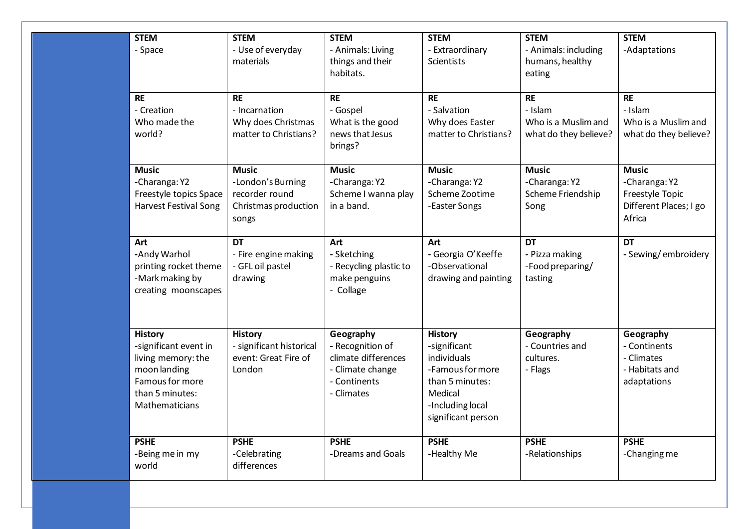| <b>STEM</b><br>- Space                                                                                                                | <b>STEM</b><br>- Use of everyday<br>materials                                        | <b>STEM</b><br>- Animals: Living<br>things and their<br>habitats.                                      | <b>STEM</b><br>- Extraordinary<br><b>Scientists</b>                                                                                       | <b>STEM</b><br>- Animals: including<br>humans, healthy<br>eating     | <b>STEM</b><br>-Adaptations                                                          |
|---------------------------------------------------------------------------------------------------------------------------------------|--------------------------------------------------------------------------------------|--------------------------------------------------------------------------------------------------------|-------------------------------------------------------------------------------------------------------------------------------------------|----------------------------------------------------------------------|--------------------------------------------------------------------------------------|
| <b>RE</b><br>- Creation<br>Who made the<br>world?                                                                                     | <b>RE</b><br>- Incarnation<br>Why does Christmas<br>matter to Christians?            | <b>RE</b><br>- Gospel<br>What is the good<br>news that Jesus<br>brings?                                | <b>RE</b><br>- Salvation<br>Why does Easter<br>matter to Christians?                                                                      | <b>RE</b><br>- Islam<br>Who is a Muslim and<br>what do they believe? | <b>RE</b><br>- Islam<br>Who is a Muslim and<br>what do they believe?                 |
| <b>Music</b><br>-Charanga: Y2<br>Freestyle topics Space<br><b>Harvest Festival Song</b>                                               | <b>Music</b><br>-London's Burning<br>recorder round<br>Christmas production<br>songs | <b>Music</b><br>-Charanga: Y2<br>Scheme I wanna play<br>in a band.                                     | <b>Music</b><br>-Charanga: Y2<br>Scheme Zootime<br>-Easter Songs                                                                          | <b>Music</b><br>-Charanga: Y2<br>Scheme Friendship<br>Song           | <b>Music</b><br>-Charanga: Y2<br>Freestyle Topic<br>Different Places; I go<br>Africa |
| Art<br>-Andy Warhol<br>printing rocket theme<br>-Mark making by<br>creating moonscapes                                                | <b>DT</b><br>- Fire engine making<br>- GFL oil pastel<br>drawing                     | Art<br>- Sketching<br>- Recycling plastic to<br>make penguins<br>- Collage                             | Art<br>- Georgia O'Keeffe<br>-Observational<br>drawing and painting                                                                       | <b>DT</b><br>- Pizza making<br>-Food preparing/<br>tasting           | <b>DT</b><br>- Sewing/embroidery                                                     |
| <b>History</b><br>-significant event in<br>living memory: the<br>moon landing<br>Famous for more<br>than 5 minutes:<br>Mathematicians | <b>History</b><br>- significant historical<br>event: Great Fire of<br>London         | Geography<br>- Recognition of<br>climate differences<br>- Climate change<br>- Continents<br>- Climates | <b>History</b><br>-significant<br>individuals<br>-Famous for more<br>than 5 minutes:<br>Medical<br>-Including local<br>significant person | Geography<br>- Countries and<br>cultures.<br>- Flags                 | Geography<br>- Continents<br>- Climates<br>- Habitats and<br>adaptations             |
| <b>PSHE</b><br>-Being me in my<br>world                                                                                               | <b>PSHE</b><br>-Celebrating<br>differences                                           | <b>PSHE</b><br>-Dreams and Goals                                                                       | <b>PSHE</b><br>-Healthy Me                                                                                                                | <b>PSHE</b><br>-Relationships                                        | <b>PSHE</b><br>-Changing me                                                          |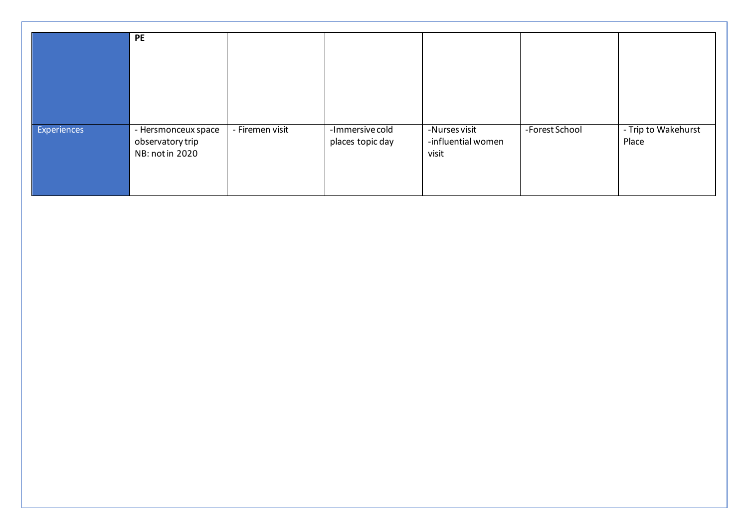|             | PE                  |                 |                  |                    |                |                     |
|-------------|---------------------|-----------------|------------------|--------------------|----------------|---------------------|
|             |                     |                 |                  |                    |                |                     |
|             |                     |                 |                  |                    |                |                     |
|             |                     |                 |                  |                    |                |                     |
|             |                     |                 |                  |                    |                |                     |
| Experiences | - Hersmonceux space | - Firemen visit | -Immersive cold  | -Nurses visit      | -Forest School | - Trip to Wakehurst |
|             | observatory trip    |                 | places topic day | -influential women |                | Place               |
|             | NB: not in 2020     |                 |                  | visit              |                |                     |
|             |                     |                 |                  |                    |                |                     |
|             |                     |                 |                  |                    |                |                     |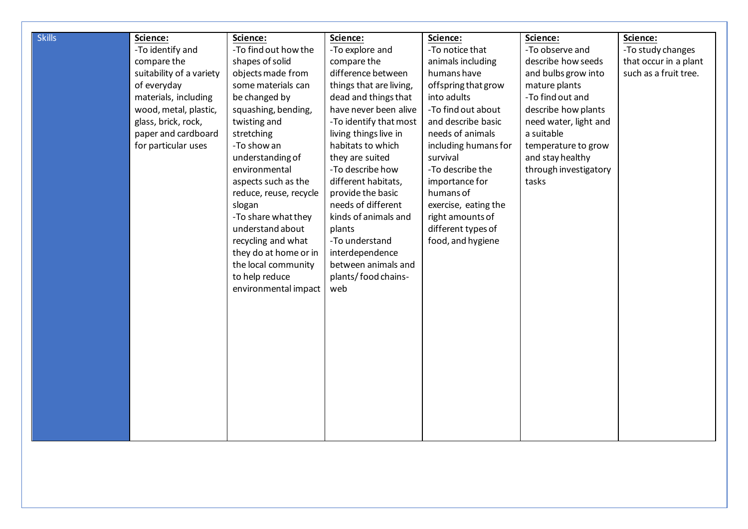| <b>Skills</b> | Science:                 | Science:               | Science:                | Science:             | Science:              | Science:              |
|---------------|--------------------------|------------------------|-------------------------|----------------------|-----------------------|-----------------------|
|               | -To identify and         | -To find out how the   | -To explore and         | -To notice that      | -To observe and       | -To study changes     |
|               | compare the              | shapes of solid        | compare the             | animals including    | describe how seeds    | that occur in a plant |
|               | suitability of a variety | objects made from      | difference between      | humans have          | and bulbs grow into   | such as a fruit tree. |
|               | of everyday              | some materials can     | things that are living, | offspring that grow  | mature plants         |                       |
|               | materials, including     | be changed by          | dead and things that    | into adults          | -To find out and      |                       |
|               | wood, metal, plastic,    | squashing, bending,    | have never been alive   | -To find out about   | describe how plants   |                       |
|               | glass, brick, rock,      | twisting and           | -To identify that most  | and describe basic   | need water, light and |                       |
|               | paper and cardboard      | stretching             | living things live in   | needs of animals     | a suitable            |                       |
|               | for particular uses      | -To show an            | habitats to which       | including humans for | temperature to grow   |                       |
|               |                          | understanding of       | they are suited         | survival             | and stay healthy      |                       |
|               |                          | environmental          | -To describe how        | -To describe the     | through investigatory |                       |
|               |                          | aspects such as the    | different habitats,     | importance for       | tasks                 |                       |
|               |                          | reduce, reuse, recycle | provide the basic       | humans of            |                       |                       |
|               |                          | slogan                 | needs of different      | exercise, eating the |                       |                       |
|               |                          | -To share what they    | kinds of animals and    | right amounts of     |                       |                       |
|               |                          | understand about       | plants                  | different types of   |                       |                       |
|               |                          | recycling and what     | -To understand          | food, and hygiene    |                       |                       |
|               |                          | they do at home or in  | interdependence         |                      |                       |                       |
|               |                          | the local community    | between animals and     |                      |                       |                       |
|               |                          | to help reduce         | plants/food chains-     |                      |                       |                       |
|               |                          | environmental impact   | web                     |                      |                       |                       |
|               |                          |                        |                         |                      |                       |                       |
|               |                          |                        |                         |                      |                       |                       |
|               |                          |                        |                         |                      |                       |                       |
|               |                          |                        |                         |                      |                       |                       |
|               |                          |                        |                         |                      |                       |                       |
|               |                          |                        |                         |                      |                       |                       |
|               |                          |                        |                         |                      |                       |                       |
|               |                          |                        |                         |                      |                       |                       |
|               |                          |                        |                         |                      |                       |                       |
|               |                          |                        |                         |                      |                       |                       |
|               |                          |                        |                         |                      |                       |                       |
|               |                          |                        |                         |                      |                       |                       |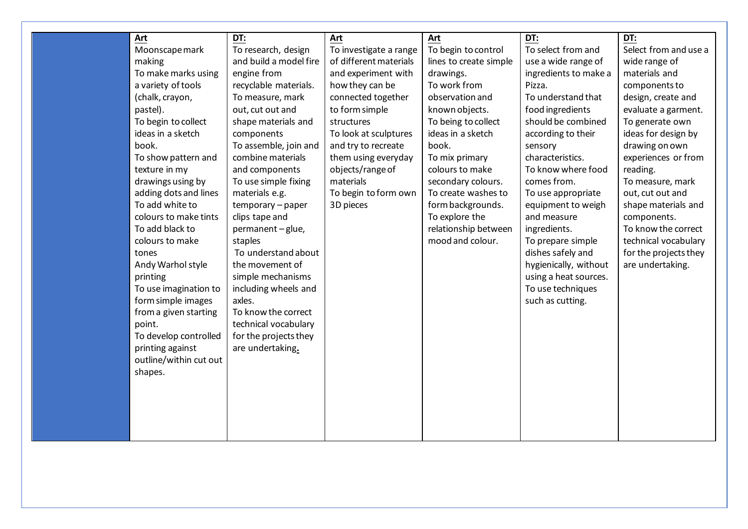| Art                    | DT:                    | Art                    | Art                    | <u>DT:</u>            | DT:                   |
|------------------------|------------------------|------------------------|------------------------|-----------------------|-----------------------|
| Moonscape mark         | To research, design    | To investigate a range | To begin to control    | To select from and    | Select from and use a |
| making                 | and build a model fire | of different materials | lines to create simple | use a wide range of   | wide range of         |
| To make marks using    | engine from            | and experiment with    | drawings.              | ingredients to make a | materials and         |
| a variety of tools     | recyclable materials.  | how they can be        | To work from           | Pizza.                | components to         |
| (chalk, crayon,        | To measure, mark       | connected together     | observation and        | To understand that    | design, create and    |
| pastel).               | out, cut out and       | to form simple         | known objects.         | food ingredients      | evaluate a garment.   |
| To begin to collect    | shape materials and    | structures             | To being to collect    | should be combined    | To generate own       |
| ideas in a sketch      | components             | To look at sculptures  | ideas in a sketch      | according to their    | ideas for design by   |
| book.                  | To assemble, join and  | and try to recreate    | book.                  | sensory               | drawing on own        |
| To show pattern and    | combine materials      | them using everyday    | To mix primary         | characteristics.      | experiences or from   |
| texture in my          | and components         | objects/range of       | colours to make        | To know where food    | reading.              |
| drawings using by      | To use simple fixing   | materials              | secondary colours.     | comes from.           | To measure, mark      |
| adding dots and lines  | materials e.g.         | To begin to form own   | To create washes to    | To use appropriate    | out, cut out and      |
| To add white to        | temporary - paper      | 3D pieces              | form backgrounds.      | equipment to weigh    | shape materials and   |
| colours to make tints  | clips tape and         |                        | To explore the         | and measure           | components.           |
| To add black to        | permanent-glue,        |                        | relationship between   | ingredients.          | To know the correct   |
| colours to make        | staples                |                        | mood and colour.       | To prepare simple     | technical vocabulary  |
| tones                  | To understand about    |                        |                        | dishes safely and     | for the projects they |
| Andy Warhol style      | the movement of        |                        |                        | hygienically, without | are undertaking.      |
| printing               | simple mechanisms      |                        |                        | using a heat sources. |                       |
| To use imagination to  | including wheels and   |                        |                        | To use techniques     |                       |
| form simple images     | axles.                 |                        |                        | such as cutting.      |                       |
| from a given starting  | To know the correct    |                        |                        |                       |                       |
| point.                 | technical vocabulary   |                        |                        |                       |                       |
| To develop controlled  | for the projects they  |                        |                        |                       |                       |
| printing against       | are undertaking.       |                        |                        |                       |                       |
| outline/within cut out |                        |                        |                        |                       |                       |
| shapes.                |                        |                        |                        |                       |                       |
|                        |                        |                        |                        |                       |                       |
|                        |                        |                        |                        |                       |                       |
|                        |                        |                        |                        |                       |                       |
|                        |                        |                        |                        |                       |                       |
|                        |                        |                        |                        |                       |                       |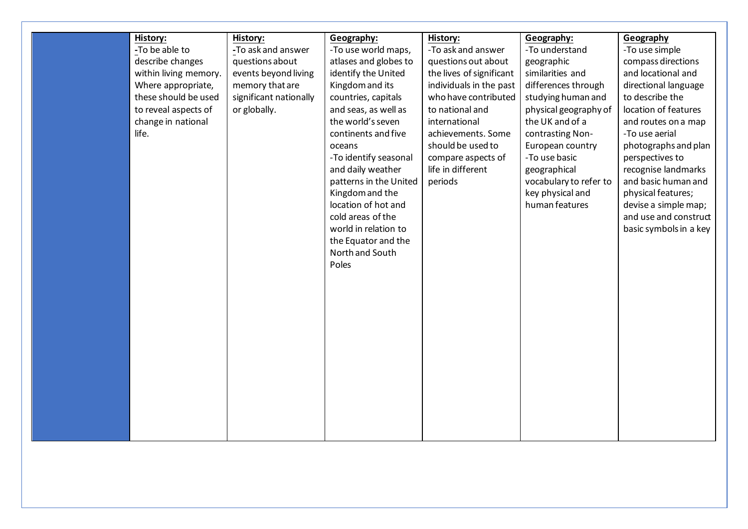| History:              | History:               | Geography:             | History:                 | Geography:             | Geography              |
|-----------------------|------------------------|------------------------|--------------------------|------------------------|------------------------|
| -To be able to        | -To ask and answer     | -To use world maps,    | -To ask and answer       | -To understand         | -To use simple         |
| describe changes      | questions about        | atlases and globes to  | questions out about      | geographic             | compass directions     |
| within living memory. | events beyond living   | identify the United    | the lives of significant | similarities and       | and locational and     |
| Where appropriate,    | memory that are        | Kingdom and its        | individuals in the past  | differences through    | directional language   |
| these should be used  | significant nationally | countries, capitals    | who have contributed     | studying human and     | to describe the        |
| to reveal aspects of  | or globally.           | and seas, as well as   | to national and          | physical geography of  | location of features   |
| change in national    |                        | the world's seven      | international            | the UK and of a        | and routes on a map    |
| life.                 |                        | continents and five    | achievements. Some       | contrasting Non-       | -To use aerial         |
|                       |                        | oceans                 | should be used to        | European country       | photographs and plan   |
|                       |                        | -To identify seasonal  | compare aspects of       | -To use basic          | perspectives to        |
|                       |                        | and daily weather      | life in different        | geographical           | recognise landmarks    |
|                       |                        | patterns in the United | periods                  | vocabulary to refer to | and basic human and    |
|                       |                        | Kingdom and the        |                          | key physical and       | physical features;     |
|                       |                        | location of hot and    |                          | human features         | devise a simple map;   |
|                       |                        | cold areas of the      |                          |                        | and use and construct  |
|                       |                        | world in relation to   |                          |                        | basic symbols in a key |
|                       |                        | the Equator and the    |                          |                        |                        |
|                       |                        | North and South        |                          |                        |                        |
|                       |                        | Poles                  |                          |                        |                        |
|                       |                        |                        |                          |                        |                        |
|                       |                        |                        |                          |                        |                        |
|                       |                        |                        |                          |                        |                        |
|                       |                        |                        |                          |                        |                        |
|                       |                        |                        |                          |                        |                        |
|                       |                        |                        |                          |                        |                        |
|                       |                        |                        |                          |                        |                        |
|                       |                        |                        |                          |                        |                        |
|                       |                        |                        |                          |                        |                        |
|                       |                        |                        |                          |                        |                        |
|                       |                        |                        |                          |                        |                        |
|                       |                        |                        |                          |                        |                        |
|                       |                        |                        |                          |                        |                        |
|                       |                        |                        |                          |                        |                        |
|                       |                        |                        |                          |                        |                        |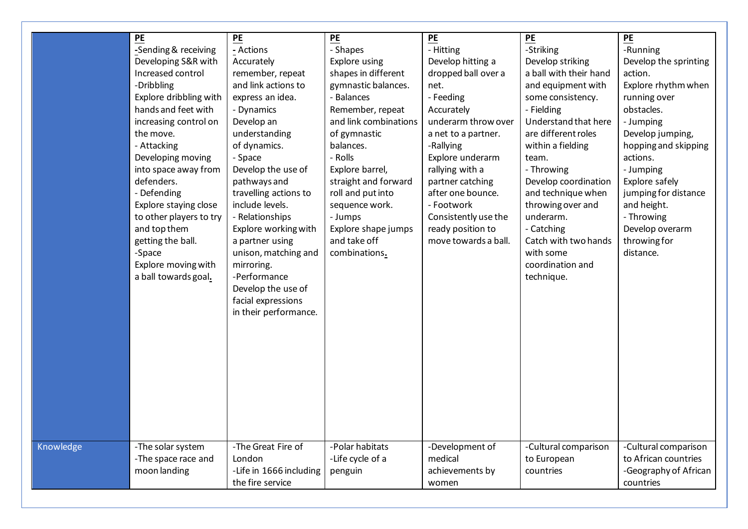|           | PE                      | PE                      | PE                    | PE                   | PE                     | PE                    |
|-----------|-------------------------|-------------------------|-----------------------|----------------------|------------------------|-----------------------|
|           | -Sending & receiving    | - Actions               | - Shapes              | - Hitting            | -Striking              | -Running              |
|           | Developing S&R with     | Accurately              | Explore using         | Develop hitting a    | Develop striking       | Develop the sprinting |
|           | Increased control       | remember, repeat        | shapes in different   | dropped ball over a  | a ball with their hand | action.               |
|           | -Dribbling              | and link actions to     | gymnastic balances.   | net.                 | and equipment with     | Explore rhythm when   |
|           | Explore dribbling with  | express an idea.        | - Balances            | - Feeding            | some consistency.      | running over          |
|           | hands and feet with     | - Dynamics              | Remember, repeat      | Accurately           | - Fielding             | obstacles.            |
|           | increasing control on   | Develop an              | and link combinations | underarm throw over  | Understand that here   | - Jumping             |
|           | the move.               | understanding           | of gymnastic          | a net to a partner.  | are different roles    | Develop jumping,      |
|           | - Attacking             | of dynamics.            | balances.             | -Rallying            | within a fielding      | hopping and skipping  |
|           | Developing moving       | - Space                 | - Rolls               | Explore underarm     | team.                  | actions.              |
|           | into space away from    | Develop the use of      | Explore barrel,       | rallying with a      | - Throwing             | - Jumping             |
|           | defenders.              | pathways and            | straight and forward  | partner catching     | Develop coordination   | Explore safely        |
|           | - Defending             | travelling actions to   | roll and put into     | after one bounce.    | and technique when     | jumping for distance  |
|           | Explore staying close   | include levels.         | sequence work.        | - Footwork           | throwing over and      | and height.           |
|           | to other players to try | - Relationships         | - Jumps               | Consistently use the | underarm.              | - Throwing            |
|           | and top them            | Explore working with    | Explore shape jumps   | ready position to    | - Catching             | Develop overarm       |
|           | getting the ball.       | a partner using         | and take off          | move towards a ball. | Catch with two hands   | throwing for          |
|           | -Space                  | unison, matching and    | combinations.         |                      | with some              | distance.             |
|           | Explore moving with     | mirroring.              |                       |                      | coordination and       |                       |
|           | a ball towards goal.    | -Performance            |                       |                      | technique.             |                       |
|           |                         | Develop the use of      |                       |                      |                        |                       |
|           |                         | facial expressions      |                       |                      |                        |                       |
|           |                         | in their performance.   |                       |                      |                        |                       |
|           |                         |                         |                       |                      |                        |                       |
|           |                         |                         |                       |                      |                        |                       |
|           |                         |                         |                       |                      |                        |                       |
|           |                         |                         |                       |                      |                        |                       |
|           |                         |                         |                       |                      |                        |                       |
|           |                         |                         |                       |                      |                        |                       |
|           |                         |                         |                       |                      |                        |                       |
|           |                         |                         |                       |                      |                        |                       |
|           |                         |                         |                       |                      |                        |                       |
|           |                         |                         |                       |                      |                        |                       |
|           |                         |                         |                       |                      |                        |                       |
| Knowledge | -The solar system       | -The Great Fire of      | -Polar habitats       | -Development of      | -Cultural comparison   | -Cultural comparison  |
|           | -The space race and     | London                  | -Life cycle of a      | medical              | to European            | to African countries  |
|           | moon landing            | -Life in 1666 including | penguin               | achievements by      | countries              | -Geography of African |
|           |                         | the fire service        |                       | women                |                        | countries             |